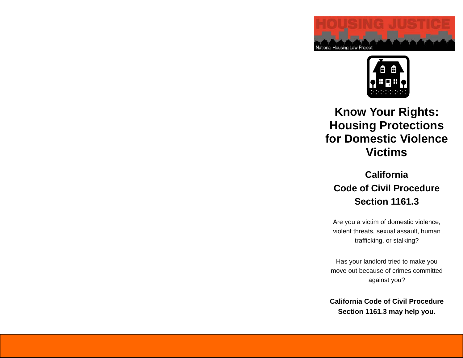



# **Know Your Rights: Housing Protections for Domestic Violence Victims**

# **California Code of Civil Procedure Section 1161.3**

Are you a victim of domestic violence, violent threats, sexual assault, human trafficking, or stalking?

Has your landlord tried to make you move out because of crimes committed against you?

**California Code of Civil Procedure Section 1161.3 may help you.**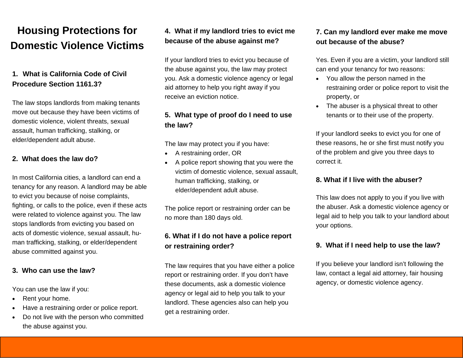# **Housing Protections for Domestic Violence Victims**

#### **1. What is California Code of Civil Procedure Section 1161.3?**

The law stops landlords from making tenants move out because they have been victims of domestic violence, violent threats, sexual assault, human trafficking, stalking, or elder/dependent adult abuse.

#### **2. What does the law do?**

In most California cities, a landlord can end a tenancy for any reason. A landlord may be able to evict you because of noise complaints, fighting, or calls to the police, even if these acts were related to violence against you. The law stops landlords from evicting you based on acts of domestic violence, sexual assault, human trafficking, stalking, or elder/dependent abuse committed against you.

#### **3. Who can use the law?**

You can use the law if you:

- $\bullet$ Rent your home.
- $\bullet$ Have a restraining order or police report.
- $\bullet$  Do not live with the person who committed the abuse against you.

#### **4. What if my landlord tries to evict me because of the abuse against me?**

If your landlord tries to evict you because of the abuse against you, the law may protect you. Ask a domestic violence agency or legal aid attorney to help you right away if you receive an eviction notice.

#### **5. What type of proof do I need to use the law?**

The law may protect you if you have:

- $\bullet$ A restraining order, OR
- $\bullet$  A police report showing that you were the victim of domestic violence, sexual assault, human trafficking, stalking, or elder/dependent adult abuse.

The police report or restraining order can be no more than 180 days old.

#### **6. What if I do not have a police report or restraining order?**

The law requires that you have either a police report or restraining order. If you don't have these documents, ask a domestic violence agency or legal aid to help you talk to your landlord. These agencies also can help you get a restraining order.

#### **7. Can my landlord ever make me move out because of the abuse?**

Yes. Even if you are a victim, your landlord still can end your tenancy for two reasons:

- You allow the person named in the restraining order or police report to visit the property, or
- The abuser is a physical threat to other tenants or to their use of the property.

If your landlord seeks to evict you for one of these reasons, he or she first must notify you of the problem and give you three days to correct it.

#### **8. What if I live with the abuser?**

This law does not apply to you if you live with the abuser. Ask a domestic violence agency or legal aid to help you talk to your landlord about your options.

#### **9. What if I need help to use the law?**

If you believe your landlord isn't following the law, contact a legal aid attorney, fair housing agency, or domestic violence agency.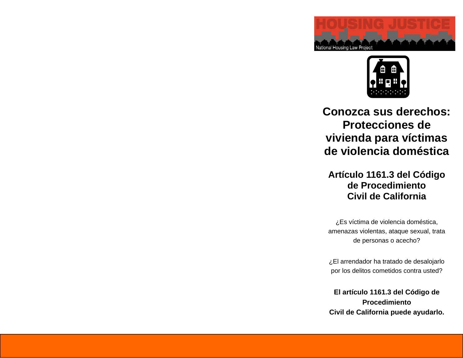



# **Conozca sus derechos: Protecciones de vivienda para víctimas de violencia doméstica**

## **Artículo 1161.3 del Código de Procedimiento Civil de California**

¿Es víctima de violencia doméstica, amenazas violentas, ataque sexual, trata de personas o acecho?

¿El arrendador ha tratado de desalojarlo por los delitos cometidos contra usted?

**El artículo 1161.3 del Código de Procedimiento Civil de California puede ayudarlo.**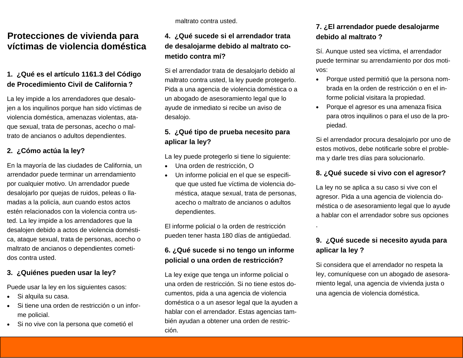### **Protecciones de vivienda para víctimas de violencia doméstica**

#### **1. ¿Qué es el artículo 1161.3 del Código de Procedimiento Civil de California ?**

La ley impide a los arrendadores que desalojen a los inquilinos porque han sido víctimas de violencia doméstica, amenazas violentas, ataque sexual, trata de personas, acecho o maltrato de ancianos o adultos dependientes.

#### **2. ¿Cómo actúa la ley?**

En la mayoría de las ciudades de California, un arrendador puede terminar un arrendamiento por cualquier motivo. Un arrendador puede desalojarlo por quejas de ruidos, peleas o llamadas a la policía, aun cuando estos actos estén relacionados con la violencia contra usted. La ley impide a los arrendadores que la desalojen debido a actos de violencia doméstica, ataque sexual, trata de personas, acecho o maltrato de ancianos o dependientes cometidos contra usted.

#### **3. ¿Quiénes pueden usar la ley?**

Puede usar la ley en los siguientes casos:

- $\bullet$ Si alquila su casa.
- $\bullet$  Si tiene una orden de restricción o un informe policial.
- $\bullet$ Si no vive con la persona que cometió el

maltrato contra usted.

#### **4. ¿Qué sucede si el arrendador trata de desalojarme debido al maltrato cometido contra mí?**

Si el arrendador trata de desalojarlo debido al maltrato contra usted, la ley puede protegerlo. Pida a una agencia de violencia doméstica o a un abogado de asesoramiento legal que lo ayude de inmediato si recibe un aviso de desalojo.

#### **5. ¿Qué tipo de prueba necesito para aplicar la ley?**

La ley puede protegerlo si tiene lo siguiente:

- $\bullet$ Una orden de restricción, O
- $\bullet$  Un informe policial en el que se especifique que usted fue víctima de violencia doméstica, ataque sexual, trata de personas, acecho o maltrato de ancianos o adultos dependientes.

El informe policial o la orden de restricción pueden tener hasta 180 días de antigüedad.

#### **6. ¿Qué sucede si no tengo un informe policial o una orden de restricción?**

La ley exige que tenga un informe policial o una orden de restricción. Si no tiene estos documentos, pida a una agencia de violencia doméstica o a un asesor legal que la ayuden a hablar con el arrendador. Estas agencias también ayudan a obtener una orden de restricción.

#### **7. ¿El arrendador puede desalojarme debido al maltrato ?**

Sí. Aunque usted sea víctima, el arrendador puede terminar su arrendamiento por dos motivos:

- $\bullet$  Porque usted permitió que la persona nombrada en la orden de restricción o en el informe policial visitara la propiedad.
- $\bullet$  Porque el agresor es una amenaza física para otros inquilinos o para el uso de la propiedad.

Si el arrendador procura desalojarlo por uno de estos motivos, debe notificarle sobre el problema y darle tres días para solucionarlo.

#### **8. ¿Qué sucede si vivo con el agresor?**

La ley no se aplica a su caso si vive con el agresor. Pida a una agencia de violencia doméstica o de asesoramiento legal que lo ayude a hablar con el arrendador sobre sus opciones

#### **9. ¿Qué sucede si necesito ayuda para aplicar la ley ?**

.

Si considera que el arrendador no respeta la ley, comuníquese con un abogado de asesoramiento legal, una agencia de vivienda justa o una agencia de violencia doméstica.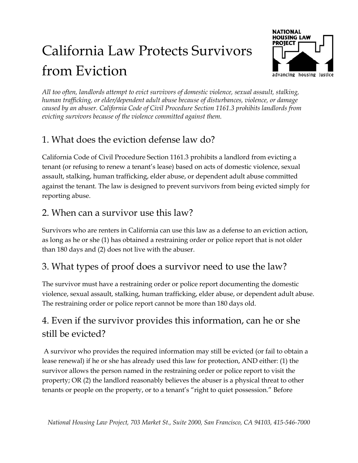# California Law Protects Survivors from Eviction



*All too often, landlords attempt to evict survivors of domestic violence, sexual assault, stalking, human trafficking, or elder/dependent adult abuse because of disturbances, violence, or damage caused by an abuser. California Code of Civil Procedure Section 1161.3 prohibits landlords from evicting survivors because of the violence committed against them.* 

# 1. What does the eviction defense law do?

California Code of Civil Procedure Section 1161.3 prohibits a landlord from evicting a tenant (or refusing to renew a tenant's lease) based on acts of domestic violence, sexual assault, stalking, human trafficking, elder abuse, or dependent adult abuse committed against the tenant. The law is designed to prevent survivors from being evicted simply for reporting abuse.

## 2. When can a survivor use this law?

Survivors who are renters in California can use this law as a defense to an eviction action, as long as he or she (1) has obtained a restraining order or police report that is not older than 180 days and (2) does not live with the abuser.

## 3. What types of proof does a survivor need to use the law?

The survivor must have a restraining order or police report documenting the domestic violence, sexual assault, stalking, human trafficking, elder abuse, or dependent adult abuse. The restraining order or police report cannot be more than 180 days old.

# 4. Even if the survivor provides this information, can he or she still be evicted?

 A survivor who provides the required information may still be evicted (or fail to obtain a lease renewal) if he or she has already used this law for protection, AND either: (1) the survivor allows the person named in the restraining order or police report to visit the property; OR (2) the landlord reasonably believes the abuser is a physical threat to other tenants or people on the property, or to a tenant's "right to quiet possession." Before